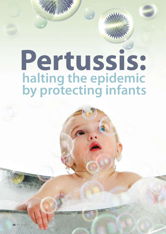# **halting the epidemic by protecting infants Pertussis:**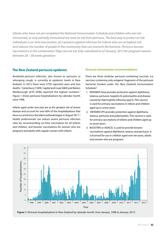*Infants who have not yet completed the National Immunisation Schedule and children who are not immunised, or only partially immunised are most at risk from pertussis. The best way to protect at-risk individuals is on-time vaccination, as it protects against infection for infants who are at highest risk and reduces the number of people in the community that can transmit the bacteria. Pertussis booster vaccinations in the combination Tdap vaccine are fully-subsidised as of January, 2013 for pregnant women between 28 – 38 weeks gestation*

## **The New Zealand pertussis epidemic**

*Bordetella pertussis* infection, also known as pertussis or whooping cough, is currently at epidemic levels in New Zealand. In 2012 there were 5793 reported cases and two deaths.<sup>1</sup> Canterbury (1209), Capital and Coast (680) and Nelson Marlborough (670) DHBs reported the highest numbers.<sup>2</sup> Figure 1 shows pertussis hospitalisations by calendar month since 1998.

Infants aged under one year are at the greatest risk of severe disease and account for over 60% of the hospitalisations that have occurred since the latest outbreak began in August 2011.<sup>2</sup> Health professionals can reduce severe pertussis infection rates by recommending on-time vaccination for all infants and children, and booster vaccinations for women who are pregnant and adults with regular contact with infants.

## **Pertussis immunisation recommendations**

There are three acellular pertussis-containing vaccines (i.e. vaccines containing only antigenic fragments of the pertussis bacteria) funded under the New Zealand Immunisation Schedule:<sup>3</sup>

- 1. INFANRIX-hexa provides protection against diphtheria, tetanus, pertussis, hepatitis B, poliomyelitis and disease caused by Haemophilis influenza type b. This vaccine is used for primary vaccinations in infants and children aged up to seven years.
- 2. INFANRIX-IPV provides protection against diphtheria, tetanus, pertussis and poliomyelitis. This vaccine is used for primary vaccinations of infants and children aged up to seven years.
- 3. BOOSTRIX or ADACEL is used to provide booster vaccinations against diphtheria, tetanus and pertussis. It is licensed for use in children aged over ten years, adults and women who are pregnant.



**Figure 1:** Pertussis hospitalisations in New Zealand by calendar month, from January, 1998 to January, 20131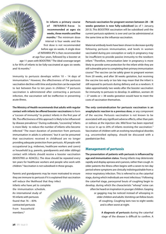of INFANRIX-hexa is **recommended at ages six weeks, three months and five months.**<sup>3</sup> The minimum doseinterval is four weeks and the first dose is not recommended before age six weeks. A single dose of INFANRIX-IPV is then recommended at age four years, followed by a booster at age 11 years with BOOSTRIX.<sup>3</sup> The ideal coverage target is for 95% of infants to be fully-vaccinated at ages six weeks and 16 months.<sup>3</sup>

**In infants a primary course** 

Immunity to pertussis develops within 10 – 14 days of immunisation.3 However, the effectiveness of the pertussis vaccination declines with time and protection can be expected to last between five to ten years in children.<sup>4</sup> If pertussis vaccination is administered after contracting a pertussis infection, the vaccination will be ineffective in preventing acute illness.

**The Ministry of Health recommends that adults with regular contact with infants be offered booster vaccinations** to form a "cocoon of immunity" to protect infants in the first year of life. The effectiveness of this approach is likely to be influenced by disease prevalence.<sup>5</sup> During outbreaks, "cocooning" infants is more likely to reduce the number of infants who become infected.5 The exact duration of protection from pertussis immunisation in adults is unknown,<sup>3</sup> but it can be presumed that vaccinations received in childhood are no longer providing adequate protection from pertussis. All people with occupational (e.g. midwives, healthcare workers and carers) or household (e.g. parents, grandparents and older siblings) contact with infants should receive a booster vaccination (BOOSTRIX or ADACEL). The dose should be repeated every ten years for healthcare workers and people who work with children.<sup>3</sup> Vaccination is not subsidised in these groups.

Parents and grandparents may be more motivated to ensure they are immune to pertussis if it is explained that vaccination will reduce the likelihood that they infect infants who have yet to complete the immunisation schedule. An international study of 95 infants with pertussis found that  $76 - 83%$ contracted pertussis from household members<sup>6</sup>

**Pertussis vaccination for pregnant women between 28 – 38 weeks gestation is now fully-subsidised** (as of 1 January, 2013). This BOOSTRIX vaccination will be subsidised until the current pertussis epidemic is over and can be administered at the same time as the influenza vaccination.

Maternal antibody levels have been shown to decrease quickly following pertussis immunisation, and levels in women vaccinated during pre-conception or early in pregnancy may be insufficient to provide passive immunity to the newborn infant.7 Therefore, immunisation later in pregnancy is more likely to provide some protection for the infant while they are still vulnerable prior to completing their primary immunisation course.8 The vaccine can be safely given to pregnant women from 20 weeks, and after 38 weeks gestation, but receiving the vaccine too early or too late may mean that the infant is still exposed to pertussis during delivery and as a newborn. It takes approximately two weeks after the booster vaccination for immunity to pertussis to develop. In addition, women 20 – 27 weeks or > 38 weeks gestation would have to meet the costs of vaccination themselves.

**The only contraindication for pertussis vaccination is an anaphylactic reaction to a previous dose**, or any component of the vaccine. Pertussis vaccination is not known to be associated with any significant adverse effects, other than pain or redness at the injection site. Mild fever has been reported to occur in up to 20% of infants receiving the vaccination.3 Vaccination of children with an evolving neurological disorder, e.g. uncontrolled epilepsy, should be discussed with a paediatrician first.

## **Management of pertussis**

**The presentation of patients with pertussis is influenced by age and immunisation status.** Young infants may deteriorate rapidly and display apnoea and cyanosis, rather than cough. In older patients the illness often begins with a seven to ten day period where symptoms are clinically indistinguishable from a minor respiratory infection. This is referred to as the catarrhal stage, during which individuals are most infectious.<sup>3</sup> Following the catarrhal stage, paroxysmal bouts of coughing begin to develop, during which the characteristic "whoop" noise can often be heard on inspiration in younger children. Gasping or gagging may be noticed instead of whooping in older children and adults. Vomiting can follow bouts of coughing. Coughing lasts two to eight weeks and is often worst at night.

> **A diagnosis of pertussis** during the catarrhal stage of the disease is difficult to confirm. A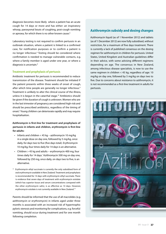diagnosis becomes more likely where a patient has an acute cough for 14 days or more and has either: an inspiratory whoop, paroxysmal bouts of coughing, post-cough vomiting or apnoea, for which there is no other known cause.<sup>9</sup>

Laboratory testing is not required to confirm pertussis in an outbreak situation, where a patient is linked to a confirmed case, for notification purposes or to confirm a patient is no longer infectious.<sup>9</sup> Testing should be considered where confirmation is needed to manage vulnerable contacts, e.g. where a family member is aged under one year, or where a diagnosis is uncertain.<sup>9</sup>

#### **Treatment and prophylaxis of pertussis**

Antibiotic treatment for pertussis is recommended to reduce transmission of the disease. Treatment should be initiated if the patient presents within three weeks of onset of cough, after which time people are generally no longer infectious.<sup>9</sup> Treatment is unlikely to alter the clinical course of the illness, unless it is begun in the catarrhal stage.<sup>10</sup> Antibiotics should be given if the duration of cough is unknown. Women who are in the last trimester of pregnancy are considered high-risk and should be prescribed antibiotics, regardless of the timing of onset.<sup>3</sup> Young children can deteriorate rapidly and may require hospitalisation.

## **Azithromycin is first-line for treatment and prophylaxis of pertussis in infants and children, erythromycin is first-line for adults:**

- Infants and children  $<$  45 kg azithromycin 10 mg/kg in a single dose on day one, followed by 5 mg/kg, once daily, for days two to five (five days total). Erythromycin 10 mg/kg, four times daily for 14 days is an alternative.
- $\cdot$  Children > 45 kg and adults erythromycin 400 mg, four times daily for 14 days.\* Azithromycin 500 mg on day one, followed by 250 mg, once daily, on days two to five, is an alternative.
- Erythromycin ethyl succinate is currently the only subsidised form of oral erythromycin available in New Zealand. Treatment and prophylaxis is recommended for 14 days with erythromycin ethyl succinate. There is evidence that seven days of treatment with erythromycin estolate (which has superior tissue and serum concentrations compared with the other erythromycin salts), is as effective as 14 days. However, erythromycin estolate is not currently available in New Zealand.<sup>11</sup>

Parents should be informed that the use of all macrolides (e.g. azithromycin or erythromycin) in infants aged under three months is associated with an increased risk of hypertrophic pyloric stenosis and monitoring for complications, e.g. forceful vomiting, should occur during treatment and for one month following completion.

# **Azithromycin subsidy and dosing changes**

Azithromycin liquid (as of 1 November 2012) and tablets (as of 1 December 2012) are now fully subsidised, without restriction, for a maximum of five days treatment. There is currently a lack of published consensus on the dosing regimen for azithromycin in children for pertussis. United States, United Kingdom and Australian guidelines differ in their advice, with some advising different regimens depending on age. The consensus in New Zealand, among infectious disease specialists, is now to use the same regimen in children < 45 kg, regardless of age: 10 mg/kg on day one, followed by 5 mg/kg on days two to five. Due to concerns about resistance to azithromycin, it is not recommended as a first-line treatment in adults for pertussis.